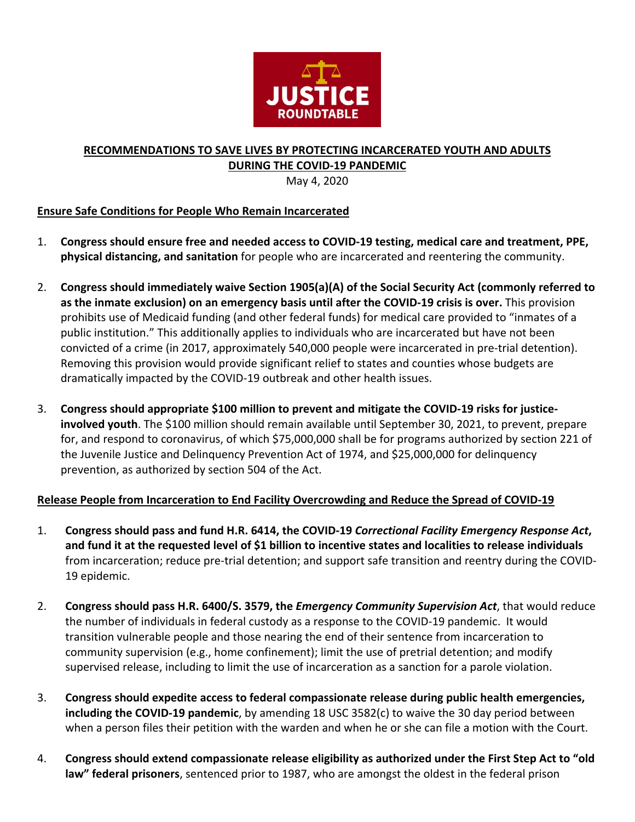

## **RECOMMENDATIONS TO SAVE LIVES BY PROTECTING INCARCERATED YOUTH AND ADULTS DURING THE COVID-19 PANDEMIC**

May 4, 2020

## **Ensure Safe Conditions for People Who Remain Incarcerated**

- 1. **Congress should ensure free and needed access to COVID-19 testing, medical care and treatment, PPE, physical distancing, and sanitation** for people who are incarcerated and reentering the community.
- 2. **Congress should immediately waive Section 1905(a)(A) of the Social Security Act (commonly referred to as the inmate exclusion) on an emergency basis until after the COVID-19 crisis is over.** This provision prohibits use of Medicaid funding (and other federal funds) for medical care provided to "inmates of a public institution." This additionally applies to individuals who are incarcerated but have not been convicted of a crime (in 2017, approximately 540,000 people were incarcerated in pre-trial detention). Removing this provision would provide significant relief to states and counties whose budgets are dramatically impacted by the COVID-19 outbreak and other health issues.
- 3. **Congress should appropriate \$100 million to prevent and mitigate the COVID-19 risks for justiceinvolved youth**. The \$100 million should remain available until September 30, 2021, to prevent, prepare for, and respond to coronavirus, of which \$75,000,000 shall be for programs authorized by section 221 of the Juvenile Justice and Delinquency Prevention Act of 1974, and \$25,000,000 for delinquency prevention, as authorized by section 504 of the Act.

## **Release People from Incarceration to End Facility Overcrowding and Reduce the Spread of COVID-19**

- 1. **Congress should pass and fund H.R. 6414, the COVID-19** *Correctional Facility Emergency Response Act***, and fund it at the requested level of \$1 billion to incentive states and localities to release individuals**  from incarceration; reduce pre-trial detention; and support safe transition and reentry during the COVID-19 epidemic.
- 2. **Congress should pass H.R. 6400/S. 3579, the** *Emergency Community Supervision Act*, that would reduce the number of individuals in federal custody as a response to the COVID-19 pandemic. It would transition vulnerable people and those nearing the end of their sentence from incarceration to community supervision (e.g., home confinement); limit the use of pretrial detention; and modify supervised release, including to limit the use of incarceration as a sanction for a parole violation.
- 3. **Congress should expedite access to federal compassionate release during public health emergencies, including the COVID-19 pandemic**, by amending 18 USC 3582(c) to waive the 30 day period between when a person files their petition with the warden and when he or she can file a motion with the Court.
- 4. **Congress should extend compassionate release eligibility as authorized under the First Step Act to "old law" federal prisoners**, sentenced prior to 1987, who are amongst the oldest in the federal prison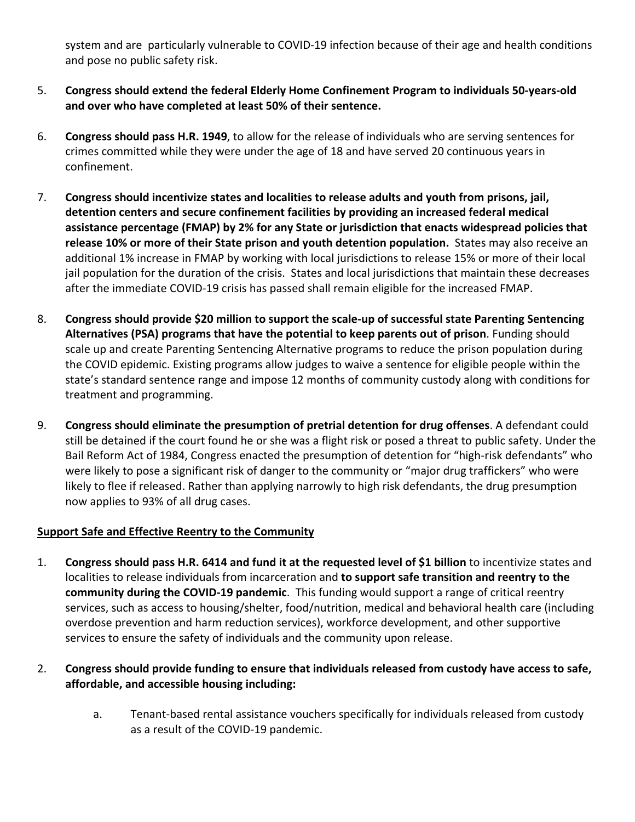system and are particularly vulnerable to COVID-19 infection because of their age and health conditions and pose no public safety risk.

- 5. **Congress should extend the federal Elderly Home Confinement Program to individuals 50-years-old and over who have completed at least 50% of their sentence.**
- 6. **Congress should pass H.R. 1949**, to allow for the release of individuals who are serving sentences for crimes committed while they were under the age of 18 and have served 20 continuous years in confinement.
- 7. **Congress should incentivize states and localities to release adults and youth from prisons, jail, detention centers and secure confinement facilities by providing an increased federal medical assistance percentage (FMAP) by 2% for any State or jurisdiction that enacts widespread policies that release 10% or more of their State prison and youth detention population.** States may also receive an additional 1% increase in FMAP by working with local jurisdictions to release 15% or more of their local jail population for the duration of the crisis. States and local jurisdictions that maintain these decreases after the immediate COVID-19 crisis has passed shall remain eligible for the increased FMAP.
- 8. **Congress should provide \$20 million to support the scale-up of successful state Parenting Sentencing Alternatives (PSA) programs that have the potential to keep parents out of prison**. Funding should scale up and create Parenting Sentencing Alternative programs to reduce the prison population during the COVID epidemic. Existing programs allow judges to waive a sentence for eligible people within the state's standard sentence range and impose 12 months of community custody along with conditions for treatment and programming.
- 9. **Congress should eliminate the presumption of pretrial detention for drug offenses**. A defendant could still be detained if the court found he or she was a flight risk or posed a threat to public safety. Under the Bail Reform Act of 1984, Congress enacted the presumption of detention for "high-risk defendants" who were likely to pose a significant risk of danger to the community or "major drug traffickers" who were likely to flee if released. Rather than applying narrowly to high risk defendants, the drug presumption now applies to 93% of all drug cases.

## **Support Safe and Effective Reentry to the Community**

- 1. **Congress should pass H.R. 6414 and fund it at the requested level of \$1 billion** to incentivize states and localities to release individuals from incarceration and **to support safe transition and reentry to the community during the COVID-19 pandemic**. This funding would support a range of critical reentry services, such as access to housing/shelter, food/nutrition, medical and behavioral health care (including overdose prevention and harm reduction services), workforce development, and other supportive services to ensure the safety of individuals and the community upon release.
- 2. **Congress should provide funding to ensure that individuals released from custody have access to safe, affordable, and accessible housing including:**
	- a. Tenant-based rental assistance vouchers specifically for individuals released from custody as a result of the COVID-19 pandemic.